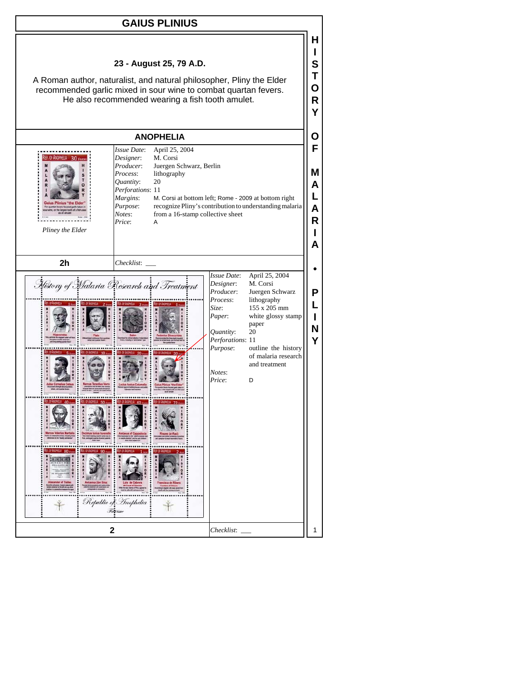